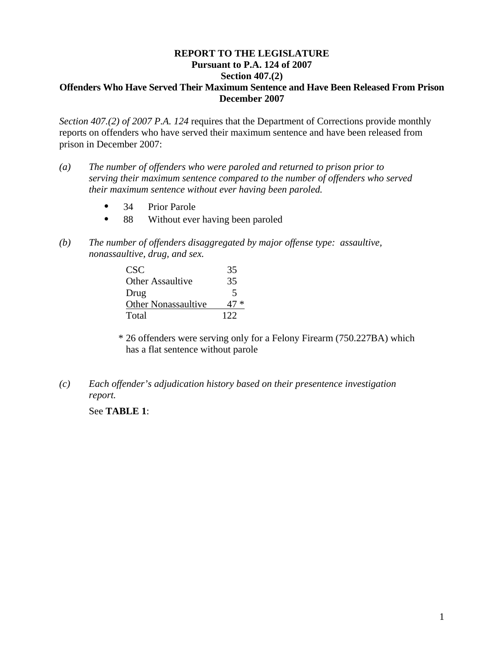## **REPORT TO THE LEGISLATURE Pursuant to P.A. 124 of 2007 Section 407.(2) Offenders Who Have Served Their Maximum Sentence and Have Been Released From Prison December 2007**

*Section 407.(2) of 2007 P.A. 124* requires that the Department of Corrections provide monthly reports on offenders who have served their maximum sentence and have been released from prison in December 2007:

- *(a) The number of offenders who were paroled and returned to prison prior to serving their maximum sentence compared to the number of offenders who served their maximum sentence without ever having been paroled.* 
	- 34 Prior Parole
	- 88 Without ever having been paroled
- *(b) The number of offenders disaggregated by major offense type: assaultive, nonassaultive, drug, and sex.*

| CSC.                       | 35   |
|----------------------------|------|
| <b>Other Assaultive</b>    | 35   |
| Drug                       | 5    |
| <b>Other Nonassaultive</b> | 47 * |
| Total                      | 122  |

\* 26 offenders were serving only for a Felony Firearm (750.227BA) which has a flat sentence without parole

*(c) Each offender's adjudication history based on their presentence investigation report.* 

See **TABLE 1**: